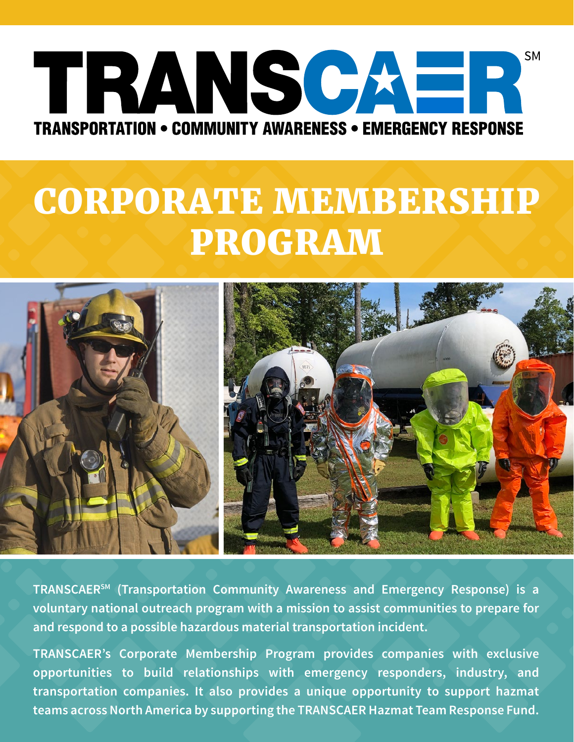

# CORPORATE MEMBERSHIP PROGRAM



**TRANSCAERSM (Transportation Community Awareness and Emergency Response) is a voluntary national outreach program with a mission to assist communities to prepare for and respond to a possible hazardous material transportation incident.**

**TRANSCAER's Corporate Membership Program provides companies with exclusive opportunities to build relationships with emergency responders, industry, and transportation companies. It also provides a unique opportunity to support hazmat teams across North America by supporting the TRANSCAER Hazmat Team Response Fund.**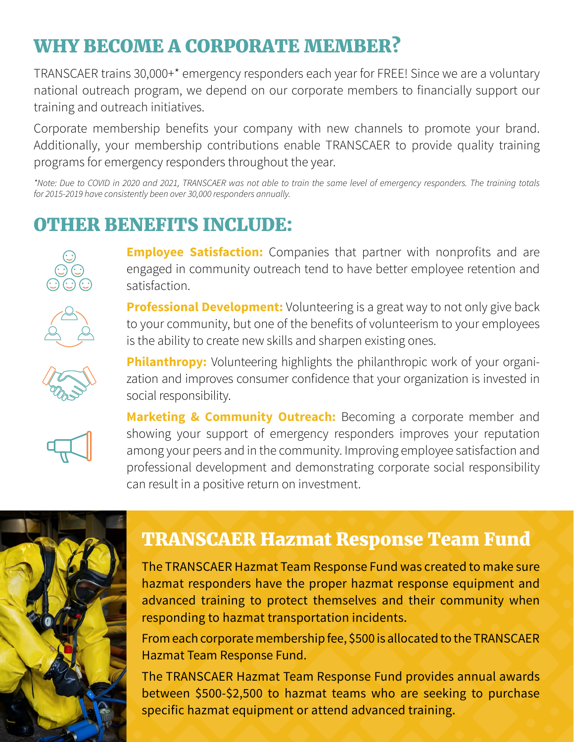# WHY BECOME A CORPORATE MEMBER?

TRANSCAER trains 30,000+\* emergency responders each year for FREE! Since we are a voluntary national outreach program, we depend on our corporate members to financially support our training and outreach initiatives.

Corporate membership benefits your company with new channels to promote your brand. Additionally, your membership contributions enable TRANSCAER to provide quality training programs for emergency responders throughout the year.

*\*Note: Due to COVID in 2020 and 2021, TRANSCAER was not able to train the same level of emergency responders. The training totals for 2015-2019 have consistently been over 30,000 responders annually.*

### OTHER BENEFITS INCLUDE:



**Employee Satisfaction:** Companies that partner with nonprofits and are engaged in community outreach tend to have better employee retention and satisfaction.



**Professional Development:** Volunteering is a great way to not only give back to your community, but one of the benefits of volunteerism to your employees is the ability to create new skills and sharpen existing ones.

**Philanthropy:** Volunteering highlights the philanthropic work of your organization and improves consumer confidence that your organization is invested in social responsibility.



**Marketing & Community Outreach:** Becoming a corporate member and showing your support of emergency responders improves your reputation among your peers and in the community. Improving employee satisfaction and professional development and demonstrating corporate social responsibility can result in a positive return on investment.



### TRANSCAER Hazmat Response Team Fund

The TRANSCAER Hazmat Team Response Fund was created to make sure hazmat responders have the proper hazmat response equipment and advanced training to protect themselves and their community when responding to hazmat transportation incidents.

From each corporate membership fee, \$500 is allocated to the TRANSCAER Hazmat Team Response Fund.

The TRANSCAER Hazmat Team Response Fund provides annual awards between \$500-\$2,500 to hazmat teams who are seeking to purchase specific hazmat equipment or attend advanced training.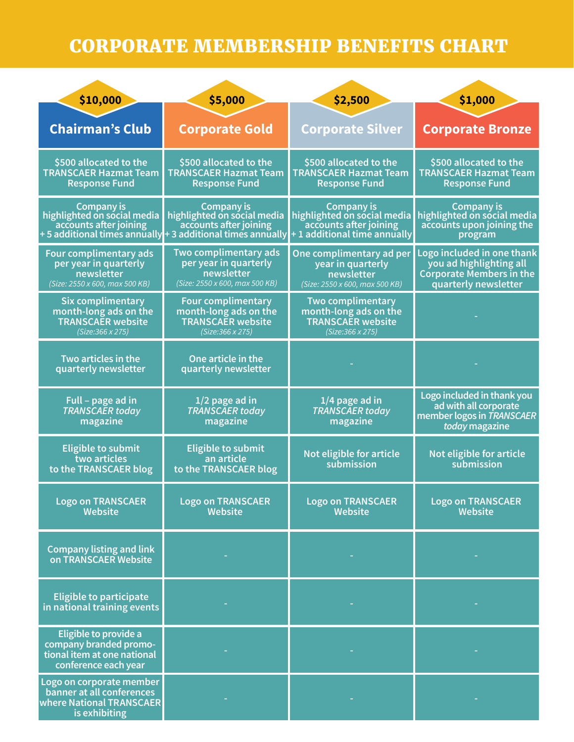### CORPORATE MEMBERSHIP BENEFITS CHART

| \$10,000                                                                                               | \$5,000                                                                                                                                  | \$2,500                                                                                                   | \$1,000                                                                                                          |
|--------------------------------------------------------------------------------------------------------|------------------------------------------------------------------------------------------------------------------------------------------|-----------------------------------------------------------------------------------------------------------|------------------------------------------------------------------------------------------------------------------|
| <b>Chairman's Club</b>                                                                                 | <b>Corporate Gold</b>                                                                                                                    | <b>Corporate Silver</b>                                                                                   | <b>Corporate Bronze</b>                                                                                          |
| \$500 allocated to the<br><b>TRANSCAER Hazmat Team</b><br><b>Response Fund</b>                         | \$500 allocated to the<br><b>TRANSCAER Hazmat Team</b><br><b>Response Fund</b>                                                           | \$500 allocated to the<br><b>TRANSCAER Hazmat Team</b><br><b>Response Fund</b>                            | \$500 allocated to the<br><b>TRANSCAER Hazmat Team</b><br><b>Response Fund</b>                                   |
| <b>Company is</b><br>highlighted on social media<br>accounts after joining                             | <b>Company is</b><br>highlighted on social media<br>accounts after joining<br>+5 additional times annually + 3 additional times annually | <b>Company is</b><br>highlighted on social media<br>accounts after joining<br>+1 additional time annually | <b>Company is</b><br>highlighted on social media<br>accounts upon joining the<br>program                         |
| Four complimentary ads<br>per year in quarterly<br>newsletter<br>(Size: 2550 x 600, max 500 KB)        | Two complimentary ads<br>per year in quarterly<br>newsletter<br>(Size: 2550 x 600, max 500 KB)                                           | One complimentary ad per<br>year in quarterly<br>newsletter<br>(Size: 2550 x 600, max 500 KB)             | Logo included in one thank<br>you ad highlighting all<br><b>Corporate Members in the</b><br>quarterly newsletter |
| <b>Six complimentary</b><br>month-long ads on the<br><b>TRANSCAER website</b><br>(Size: 366 x 275)     | <b>Four complimentary</b><br>month-long ads on the<br><b>TRANSCAER website</b><br>(Size: 366 x 275)                                      | <b>Two complimentary</b><br>month-long ads on the<br><b>TRANSCAER</b> website<br>(Size: 366 x 275)        |                                                                                                                  |
| Two articles in the<br>quarterly newsletter                                                            | One article in the<br>quarterly newsletter                                                                                               |                                                                                                           |                                                                                                                  |
| Full - page ad in<br><b>TRANSCAER today</b><br>magazine                                                | $1/2$ page ad in<br><b>TRANSCAER today</b><br>magazine                                                                                   | $1/4$ page ad in<br><b>TRANSCAER today</b><br>magazine                                                    | Logo included in thank you<br>ad with all corporate<br>member logos in TRANSCAER<br>today magazine               |
| <b>Eligible to submit</b><br>two articles<br>to the TRANSCAER blog                                     | <b>Eligible to submit</b><br>an article<br>to the TRANSCAER blog                                                                         | Not eligible for article<br>submission                                                                    | <b>Not eligible for article</b><br>submission                                                                    |
| <b>Logo on TRANSCAER</b><br><b>Website</b>                                                             | <b>Logo on TRANSCAER</b><br><b>Website</b>                                                                                               | <b>Logo on TRANSCAER</b><br>Website                                                                       | <b>Logo on TRANSCAER</b><br><b>Website</b>                                                                       |
| <b>Company listing and link</b><br>on TRANSCAER Website                                                |                                                                                                                                          |                                                                                                           |                                                                                                                  |
| <b>Eligible to participate</b><br>in national training events                                          |                                                                                                                                          |                                                                                                           |                                                                                                                  |
| Eligible to provide a<br>company branded promo-<br>tional item at one national<br>conference each year |                                                                                                                                          |                                                                                                           |                                                                                                                  |
| Logo on corporate member<br>banner at all conferences<br>where National TRANSCAER<br>is exhibiting     |                                                                                                                                          |                                                                                                           |                                                                                                                  |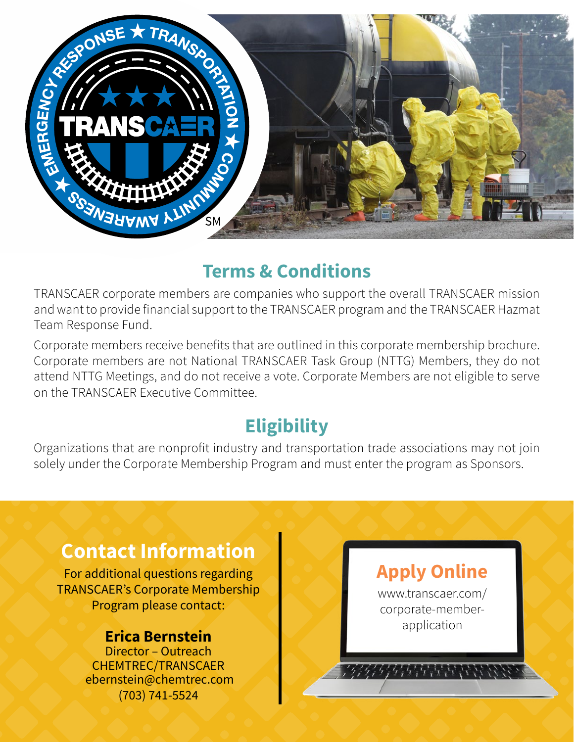

## **Terms & Conditions**

TRANSCAER corporate members are companies who support the overall TRANSCAER mission and want to provide financial support to the TRANSCAER program and the TRANSCAER Hazmat Team Response Fund.

Corporate members receive benefits that are outlined in this corporate membership brochure. Corporate members are not National TRANSCAER Task Group (NTTG) Members, they do not attend NTTG Meetings, and do not receive a vote. Corporate Members are not eligible to serve on the TRANSCAER Executive Committee.

# **Eligibility**

Organizations that are nonprofit industry and transportation trade associations may not join solely under the Corporate Membership Program and must enter the program as Sponsors.

# **Contact Information**

For additional questions regarding TRANSCAER's Corporate Membership Program please contact:

#### **Erica Bernstein**

Director – Outreach CHEMTREC/TRANSCAER ebernstein@chemtrec.com (703) 741-5524